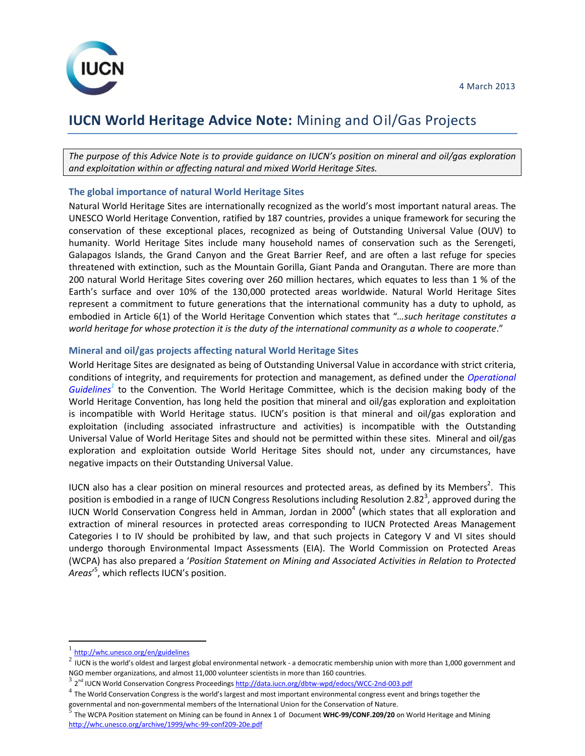

# **IUCN World Heritage Advice Note:** Mining and Oil/Gas Projects

*The purpose of this Advice Note is to provide guidance on IUCN's position on mineral and oil/gas exploration and exploitation within or affecting natural and mixed World Heritage Sites.*

# **The global importance of natural World Heritage Sites**

Natural World Heritage Sites are internationally recognized as the world's most important natural areas. The UNESCO World Heritage Convention, ratified by 187 countries, provides a unique framework for securing the conservation of these exceptional places, recognized as being of Outstanding Universal Value (OUV) to humanity. World Heritage Sites include many household names of conservation such as the Serengeti, Galapagos Islands, the Grand Canyon and the Great Barrier Reef, and are often a last refuge for species threatened with extinction, such as the Mountain Gorilla, Giant Panda and Orangutan. There are more than 200 natural World Heritage Sites covering over 260 million hectares, which equates to less than 1 % of the Earth's surface and over 10% of the 130,000 protected areas worldwide. Natural World Heritage Sites represent a commitment to future generations that the international community has a duty to uphold, as embodied in Article 6(1) of the World Heritage Convention which states that "*…such heritage constitutes a world heritage for whose protection it is the duty of the international community as a whole to cooperate*."

## **Mineral and oil/gas projects affecting natural World Heritage Sites**

World Heritage Sites are designated as being of Outstanding Universal Value in accordance with strict criteria, conditions of integrity, and requirements for protection and management, as defined under the *[Operational](http://whc.unesco.org/en/guidelines)  [Guidelines](http://whc.unesco.org/en/guidelines)<sup>1</sup>* to the Convention*.* The World Heritage Committee, which is the decision making body of the World Heritage Convention, has long held the position that mineral and oil/gas exploration and exploitation is incompatible with World Heritage status. IUCN's position is that mineral and oil/gas exploration and exploitation (including associated infrastructure and activities) is incompatible with the Outstanding Universal Value of World Heritage Sites and should not be permitted within these sites. Mineral and oil/gas exploration and exploitation outside World Heritage Sites should not, under any circumstances, have negative impacts on their Outstanding Universal Value.

IUCN also has a clear position on mineral resources and protected areas, as defined by its Members<sup>2</sup>. This position is embodied in a range of IUCN Congress Resolutions including Resolution 2.82<sup>3</sup>, approved during the IUCN World Conservation Congress held in Amman, Jordan in 2000<sup>4</sup> (which states that all exploration and extraction of mineral resources in protected areas corresponding to IUCN Protected Areas Management Categories I to IV should be prohibited by law, and that such projects in Category V and VI sites should undergo thorough Environmental Impact Assessments (EIA). The World Commission on Protected Areas (WCPA) has also prepared a '*Position Statement on Mining and Associated Activities in Relation to Protected Areas*' 5 , which reflects IUCN's position.

 $\overline{\phantom{a}}$ 

<sup>1</sup> <http://whc.unesco.org/en/guidelines>

 $^2$  IUCN is the world's oldest and largest global environmental network - a democratic membership union with more than 1,000 government and NGO member organizations, and almost 11,000 volunteer scientists in more than 160 countries.

<sup>3&</sup>lt;br>2<sup>nd</sup> IUCN World Conservation Congress Proceeding[s http://data.iucn.org/dbtw-wpd/edocs/WCC-2nd-003.pdf](http://data.iucn.org/dbtw-wpd/edocs/WCC-2nd-003.pdf)

 $^4$  The World Conservation Congress is the world's largest and most important environmental congress event and brings together the governmental and non-governmental members of the International Union for the Conservation of Nature.<br><sup>5</sup>. The WGBA Besitian statement on Ministers on he found in Annou 1 of Decument **WUG 00/GOUF 200/20**.

The WCPA Position statement on Mining can be found in Annex 1 of Document **WHC-99/CONF.209/20** on World Heritage and Mining <http://whc.unesco.org/archive/1999/whc-99-conf209-20e.pdf>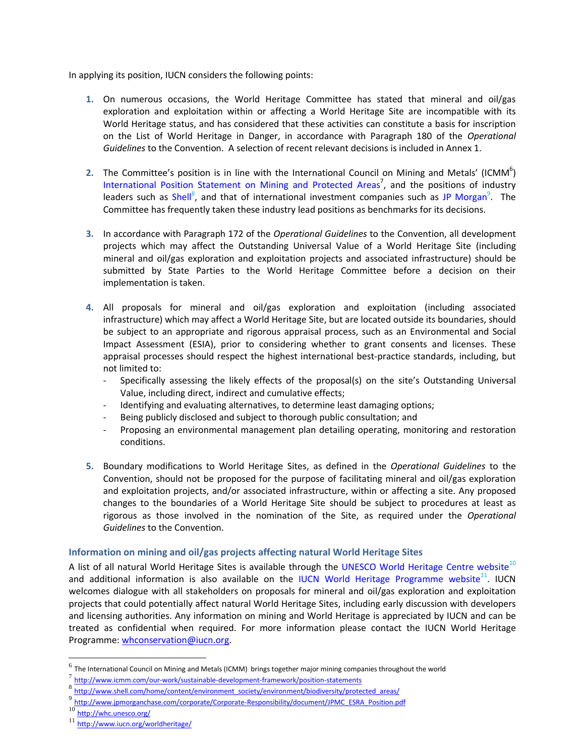In applying its position, IUCN considers the following points:

- **1.** On numerous occasions, the World Heritage Committee has stated that mineral and oil/gas exploration and exploitation within or affecting a World Heritage Site are incompatible with its World Heritage status, and has considered that these activities can constitute a basis for inscription on the List of World Heritage in Danger, in accordance with Paragraph 180 of the *Operational Guidelines* to the Convention. A selection of recent relevant decisions is included in Annex 1.
- 2. The Committee's position is in line with the International Council on Mining and Metals' (ICMM<sup>6</sup>) [International Position Statement](http://www.icmm.com/our-work/sustainable-development-framework/position-statements) on Mining and Protected Areas<sup>7</sup>, and the positions of industry leaders such as [Shell](http://www.shell.com/home/content/environment_society/environment/biodiversity/protected_areas/)<sup>8</sup>, and that of international investment companies such as [JP Morgan](http://www.jpmorganchase.com/corporate/Corporate-Responsibility/document/JPMC_ESRA_Policy.pdf)<sup>9</sup>. The Committee has frequently taken these industry lead positions as benchmarks for its decisions.
- **3.** In accordance with Paragraph 172 of the *Operational Guidelines* to the Convention, all development projects which may affect the Outstanding Universal Value of a World Heritage Site (including mineral and oil/gas exploration and exploitation projects and associated infrastructure) should be submitted by State Parties to the World Heritage Committee before a decision on their implementation is taken.
- **4.** All proposals for mineral and oil/gas exploration and exploitation (including associated infrastructure) which may affect a World Heritage Site, but are located outside its boundaries, should be subject to an appropriate and rigorous appraisal process, such as an Environmental and Social Impact Assessment (ESIA), prior to considering whether to grant consents and licenses. These appraisal processes should respect the highest international best-practice standards, including, but not limited to:
	- Specifically assessing the likely effects of the proposal(s) on the site's Outstanding Universal Value, including direct, indirect and cumulative effects;
	- Identifying and evaluating alternatives, to determine least damaging options;
	- Being publicly disclosed and subject to thorough public consultation; and
	- Proposing an environmental management plan detailing operating, monitoring and restoration conditions.
- **5.** Boundary modifications to World Heritage Sites, as defined in the *Operational Guidelines* to the Convention, should not be proposed for the purpose of facilitating mineral and oil/gas exploration and exploitation projects, and/or associated infrastructure, within or affecting a site. Any proposed changes to the boundaries of a World Heritage Site should be subject to procedures at least as rigorous as those involved in the nomination of the Site, as required under the *Operational Guidelines* to the Convention.

## **Information on mining and oil/gas projects affecting natural World Heritage Sites**

A list of all natural World Heritage Sites is available through the [UNESCO World Heritage Centre website](http://whc.unesco.org/)<sup>10</sup> and additional information is also available on the [IUCN World Heritage Programme website](http://www.iucn.org/worldheritage/)<sup>11</sup>. IUCN welcomes dialogue with all stakeholders on proposals for mineral and oil/gas exploration and exploitation projects that could potentially affect natural World Heritage Sites, including early discussion with developers and licensing authorities. Any information on mining and World Heritage is appreciated by IUCN and can be treated as confidential when required. For more information please contact the IUCN World Heritage Programme: [whconservation@iucn.org.](mailto:whconservation@iucn.org)

 $\overline{\phantom{a}}$ 

 $^6$  The International Council on Mining and Metals (ICMM) brings together major mining companies throughout the world

<sup>7&</sup>lt;br><u>8 <http://www.icmm.com/our-work/sustainable-development-framework/position-statements></u><br>8 http://www.shell.com/heres/sentest/caujusement\_caujuk/caujusement/hisdiuseitu/cartit

[http://www.shell.com/home/content/environment\\_society/environment/biodiversity/protected\\_areas/](http://www.shell.com/home/content/environment_society/environment/biodiversity/protected_areas/)

<sup>9</sup> [http://www.jpmorganchase.com/corporate/Corporate-Responsibility/document/JPMC\\_ESRA\\_Position.pdf](http://www.jpmorganchase.com/corporate/Corporate-Responsibility/document/JPMC_ESRA_Policy.pdf)

<sup>10</sup> <http://whc.unesco.org/>

<sup>11</sup> <http://www.iucn.org/worldheritage/>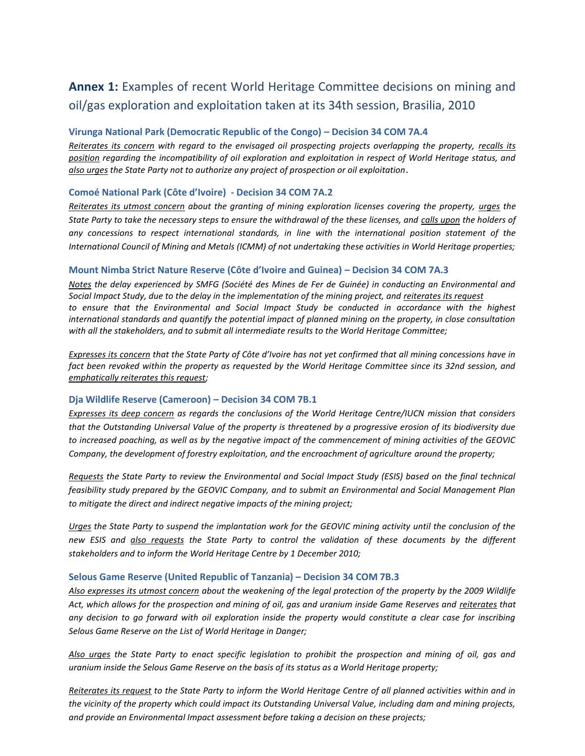# **Annex 1:** Examples of recent World Heritage Committee decisions on mining and oil/gas exploration and exploitation taken at its 34th session, Brasilia, 2010

# **Virunga National Park (Democratic Republic of the Congo) – Decision 34 COM 7A.4**

*Reiterates its concern with regard to the envisaged oil prospecting projects overlapping the property, recalls its position regarding the incompatibility of oil exploration and exploitation in respect of World Heritage status, and also urges the State Party not to authorize any project of prospection or oil exploitation*.

# **Comoé National Park (Côte d'Ivoire) - Decision 34 COM 7A.2**

*Reiterates its utmost concern about the granting of mining exploration licenses covering the property, urges the State Party to take the necessary steps to ensure the withdrawal of the these licenses, and calls upon the holders of any concessions to respect international standards, in line with the international position statement of the International Council of Mining and Metals (ICMM) of not undertaking these activities in World Heritage properties;*

# **Mount Nimba Strict Nature Reserve (Côte d'Ivoire and Guinea) – Decision 34 COM 7A.3**

*Notes the delay experienced by SMFG (Société des Mines de Fer de Guinée) in conducting an Environmental and Social Impact Study, due to the delay in the implementation of the mining project, and reiterates its request to ensure that the Environmental and Social Impact Study be conducted in accordance with the highest international standards and quantify the potential impact of planned mining on the property, in close consultation with all the stakeholders, and to submit all intermediate results to the World Heritage Committee;*

*Expresses its concern that the State Party of Côte d'Ivoire has not yet confirmed that all mining concessions have in*  fact been revoked within the property as requested by the World Heritage Committee since its 32nd session, and *emphatically reiterates this request;*

## **Dja Wildlife Reserve (Cameroon) – Decision 34 COM 7B.1**

*Expresses its deep concern as regards the conclusions of the World Heritage Centre/IUCN mission that considers that the Outstanding Universal Value of the property is threatened by a progressive erosion of its biodiversity due to increased poaching, as well as by the negative impact of the commencement of mining activities of the GEOVIC Company, the development of forestry exploitation, and the encroachment of agriculture around the property;*

*Requests the State Party to review the Environmental and Social Impact Study (ESIS) based on the final technical feasibility study prepared by the GEOVIC Company, and to submit an Environmental and Social Management Plan to mitigate the direct and indirect negative impacts of the mining project;*

*Urges the State Party to suspend the implantation work for the GEOVIC mining activity until the conclusion of the new ESIS and also requests the State Party to control the validation of these documents by the different stakeholders and to inform the World Heritage Centre by 1 December 2010;*

## **Selous Game Reserve (United Republic of Tanzania) – Decision 34 COM 7B.3**

*Also expresses its utmost concern about the weakening of the legal protection of the property by the 2009 Wildlife Act, which allows for the prospection and mining of oil, gas and uranium inside Game Reserves and reiterates that any decision to go forward with oil exploration inside the property would constitute a clear case for inscribing Selous Game Reserve on the List of World Heritage in Danger;*

*Also urges the State Party to enact specific legislation to prohibit the prospection and mining of oil, gas and uranium inside the Selous Game Reserve on the basis of its status as a World Heritage property;*

*Reiterates its request to the State Party to inform the World Heritage Centre of all planned activities within and in the vicinity of the property which could impact its Outstanding Universal Value, including dam and mining projects, and provide an Environmental Impact assessment before taking a decision on these projects;*